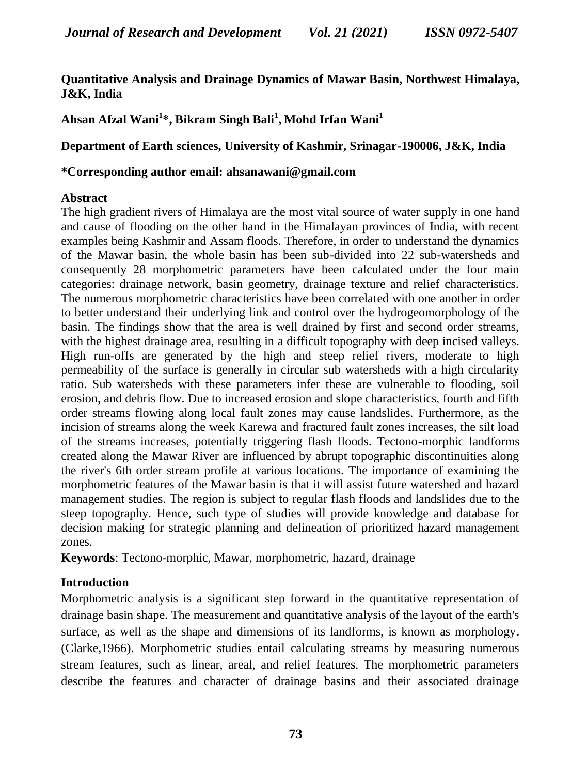# **Quantitative Analysis and Drainage Dynamics of Mawar Basin, Northwest Himalaya, J&K, India**

**Ahsan Afzal Wani<sup>1</sup> \*, Bikram Singh Bali<sup>1</sup> , Mohd Irfan Wani<sup>1</sup>**

# **Department of Earth sciences, University of Kashmir, Srinagar-190006, J&K, India**

### **\*Corresponding author email: [ahsanawani@gmail.com](mailto:ahsanawani@gmail.com)**

# **Abstract**

The high gradient rivers of Himalaya are the most vital source of water supply in one hand and cause of flooding on the other hand in the Himalayan provinces of India, with recent examples being Kashmir and Assam floods. Therefore, in order to understand the dynamics of the Mawar basin, the whole basin has been sub-divided into 22 sub-watersheds and consequently 28 morphometric parameters have been calculated under the four main categories: drainage network, basin geometry, drainage texture and relief characteristics. The numerous morphometric characteristics have been correlated with one another in order to better understand their underlying link and control over the hydrogeomorphology of the basin. The findings show that the area is well drained by first and second order streams, with the highest drainage area, resulting in a difficult topography with deep incised valleys. High run-offs are generated by the high and steep relief rivers, moderate to high permeability of the surface is generally in circular sub watersheds with a high circularity ratio. Sub watersheds with these parameters infer these are vulnerable to flooding, soil erosion, and debris flow. Due to increased erosion and slope characteristics, fourth and fifth order streams flowing along local fault zones may cause landslides. Furthermore, as the incision of streams along the week Karewa and fractured fault zones increases, the silt load of the streams increases, potentially triggering flash floods. Tectono-morphic landforms created along the Mawar River are influenced by abrupt topographic discontinuities along the river's 6th order stream profile at various locations. The importance of examining the morphometric features of the Mawar basin is that it will assist future watershed and hazard management studies. The region is subject to regular flash floods and landslides due to the steep topography. Hence, such type of studies will provide knowledge and database for decision making for strategic planning and delineation of prioritized hazard management zones.

**Keywords**: Tectono-morphic, Mawar, morphometric, hazard, drainage

# **Introduction**

Morphometric analysis is a significant step forward in the quantitative representation of drainage basin shape. The measurement and quantitative analysis of the layout of the earth's surface, as well as the shape and dimensions of its landforms, is known as morphology. (Clarke,1966). Morphometric studies entail calculating streams by measuring numerous stream features, such as linear, areal, and relief features. The morphometric parameters describe the features and character of drainage basins and their associated drainage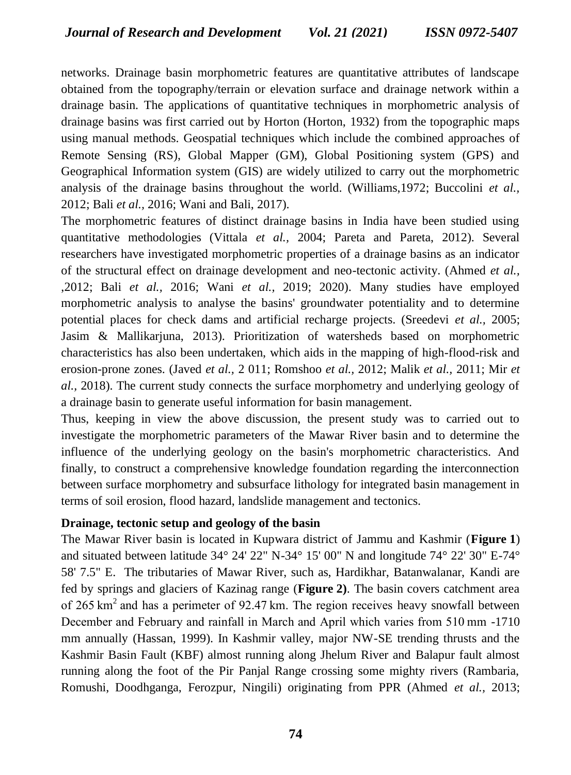networks. Drainage basin morphometric features are quantitative attributes of landscape obtained from the topography/terrain or elevation surface and drainage network within a drainage basin. The applications of quantitative techniques in morphometric analysis of drainage basins was first carried out by Horton (Horton, 1932) from the topographic maps using manual methods. Geospatial techniques which include the combined approaches of Remote Sensing (RS), Global Mapper (GM), Global Positioning system (GPS) and Geographical Information system (GIS) are widely utilized to carry out the morphometric analysis of the drainage basins throughout the world. (Williams,1972; Buccolini *et al.,*  2012; Bali *et al.,* 2016; Wani and Bali, 2017).

The morphometric features of distinct drainage basins in India have been studied using quantitative methodologies (Vittala *et al.,* 2004; Pareta and Pareta, 2012). Several researchers have investigated morphometric properties of a drainage basins as an indicator of the structural effect on drainage development and neo-tectonic activity. (Ahmed *et al.,*  ,2012; Bali *et al.,* 2016; Wani *et al.,* 2019; 2020). Many studies have employed morphometric analysis to analyse the basins' groundwater potentiality and to determine potential places for check dams and artificial recharge projects. (Sreedevi *et al.,* 2005; Jasim & Mallikarjuna, 2013). Prioritization of watersheds based on morphometric characteristics has also been undertaken, which aids in the mapping of high-flood-risk and erosion-prone zones. (Javed *et al.,* 2 011; Romshoo *et al.,* 2012; Malik *et al.,* 2011; Mir *et al.,* 2018). The current study connects the surface morphometry and underlying geology of a drainage basin to generate useful information for basin management.

Thus, keeping in view the above discussion, the present study was to carried out to investigate the morphometric parameters of the Mawar River basin and to determine the influence of the underlying geology on the basin's morphometric characteristics. And finally, to construct a comprehensive knowledge foundation regarding the interconnection between surface morphometry and subsurface lithology for integrated basin management in terms of soil erosion, flood hazard, landslide management and tectonics.

### **Drainage, tectonic setup and geology of the basin**

The Mawar River basin is located in Kupwara district of Jammu and Kashmir (**Figure [1](http://www.hindawi.com/journals/geography/2014/927176/fig1/)**) and situated between latitude 34° 24' 22" N-34° 15' 00" N and longitude 74° 22' 30" E-74° 58' 7.5" E. The tributaries of Mawar River, such as, Hardikhar, Batanwalanar, Kandi are fed by springs and glaciers of Kazinag range (**Figure [2\)](http://www.hindawi.com/journals/geography/2014/927176/fig2/#a)**. The basin covers catchment area of 265 km<sup>2</sup> and has a perimeter of 92.47 km. The region receives heavy snowfall between December and February and rainfall in March and April which varies from 510 mm -1710 mm annually (Hassan, 1999). In Kashmir valley, major NW-SE trending thrusts and the Kashmir Basin Fault (KBF) almost running along Jhelum River and Balapur fault almost running along the foot of the Pir Panjal Range crossing some mighty rivers (Rambaria, Romushi, Doodhganga, Ferozpur, Ningili) originating from PPR (Ahmed *et al.,* 2013;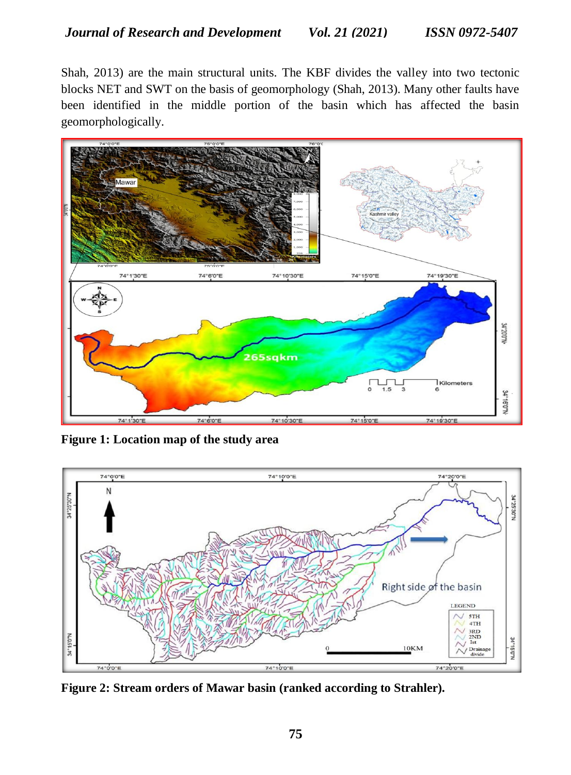Shah, 2013) are the main structural units. The KBF divides the valley into two tectonic blocks NET and SWT on the basis of geomorphology (Shah, 2013). Many other faults have been identified in the middle portion of the basin which has affected the basin geomorphologically.



**Figure 1: Location map of the study area**



**Figure 2: Stream orders of Mawar basin (ranked according to Strahler).**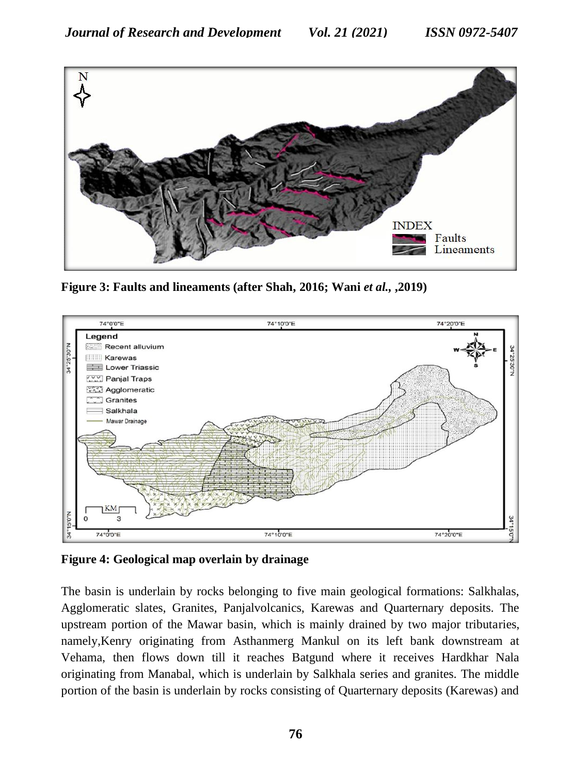

**Figure 3: Faults and lineaments (after Shah, 2016; Wani** *et al.,* **,2019)**



**Figure 4: Geological map overlain by drainage**

The basin is underlain by rocks belonging to five main geological formations: Salkhalas, Agglomeratic slates, Granites, Panjalvolcanics, Karewas and Quarternary deposits. The upstream portion of the Mawar basin, which is mainly drained by two major tributaries, namely,Kenry originating from Asthanmerg Mankul on its left bank downstream at Vehama, then flows down till it reaches Batgund where it receives Hardkhar Nala originating from Manabal, which is underlain by Salkhala series and granites. The middle portion of the basin is underlain by rocks consisting of Quarternary deposits (Karewas) and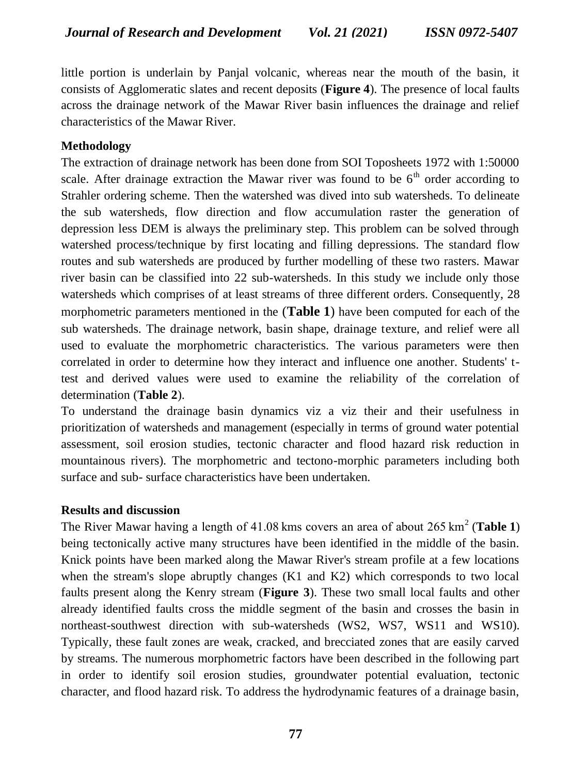little portion is underlain by Panjal volcanic, whereas near the mouth of the basin, it consists of Agglomeratic slates and recent deposits (**Figure 4**). The presence of local faults across the drainage network of the Mawar River basin influences the drainage and relief characteristics of the Mawar River.

# **Methodology**

The extraction of drainage network has been done from SOI Toposheets 1972 with 1:50000 scale. After drainage extraction the Mawar river was found to be  $6<sup>th</sup>$  order according to Strahler ordering scheme. Then the watershed was dived into sub watersheds. To delineate the sub watersheds, flow direction and flow accumulation raster the generation of depression less DEM is always the preliminary step. This problem can be solved through watershed process/technique by first locating and filling depressions. The standard flow routes and sub watersheds are produced by further modelling of these two rasters. Mawar river basin can be classified into 22 sub-watersheds. In this study we include only those watersheds which comprises of at least streams of three different orders. Consequently, 28 morphometric parameters mentioned in the (**Table [1](http://www.hindawi.com/journals/geography/2014/927176/tab1/)**) have been computed for each of the sub watersheds. The drainage network, basin shape, drainage texture, and relief were all used to evaluate the morphometric characteristics. The various parameters were then correlated in order to determine how they interact and influence one another. Students' ttest and derived values were used to examine the reliability of the correlation of determination (**Table 2**).

To understand the drainage basin dynamics viz a viz their and their usefulness in prioritization of watersheds and management (especially in terms of ground water potential assessment, soil erosion studies, tectonic character and flood hazard risk reduction in mountainous rivers). The morphometric and tectono-morphic parameters including both surface and sub- surface characteristics have been undertaken.

### **Results and discussion**

The River Mawar having a length of 41.08 kms covers an area of about 265 km<sup>2</sup> (**Table 1**) being tectonically active many structures have been identified in the middle of the basin. Knick points have been marked along the Mawar River's stream profile at a few locations when the stream's slope abruptly changes (K1 and K2) which corresponds to two local faults present along the Kenry stream (**Figure 3**). These two small local faults and other already identified faults cross the middle segment of the basin and crosses the basin in northeast-southwest direction with sub-watersheds (WS2, WS7, WS11 and WS10). Typically, these fault zones are weak, cracked, and brecciated zones that are easily carved by streams. The numerous morphometric factors have been described in the following part in order to identify soil erosion studies, groundwater potential evaluation, tectonic character, and flood hazard risk. To address the hydrodynamic features of a drainage basin,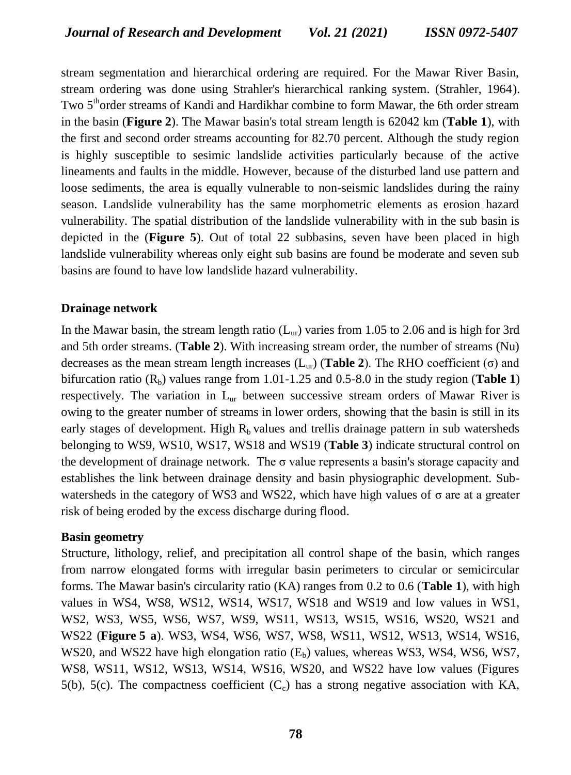stream segmentation and hierarchical ordering are required. For the Mawar River Basin, stream ordering was done using Strahler's hierarchical ranking system. (Strahler, 1964). Two 5<sup>th</sup>order streams of Kandi and Hardikhar combine to form Mawar, the 6th order stream in the basin (**Figure [2](http://www.hindawi.com/journals/geography/2014/927176/fig2/#a)**). The Mawar basin's total stream length is 62042 km (**Table 1**), with the first and second order streams accounting for 82.70 percent. Although the study region is highly susceptible to sesimic landslide activities particularly because of the active lineaments and faults in the middle. However, because of the disturbed land use pattern and loose sediments, the area is equally vulnerable to non-seismic landslides during the rainy season. Landslide vulnerability has the same morphometric elements as erosion hazard vulnerability. The spatial distribution of the landslide vulnerability with in the sub basin is depicted in the (**Figure 5**). Out of total 22 subbasins, seven have been placed in high landslide vulnerability whereas only eight sub basins are found be moderate and seven sub basins are found to have low landslide hazard vulnerability.

### **Drainage network**

In the Mawar basin, the stream length ratio  $(L_{ur})$  varies from 1.05 to 2.06 and is high for 3rd and 5th order streams. (**Table [2](http://www.hindawi.com/journals/geography/2014/927176/tab2/)**). With increasing stream order, the number of streams (Nu) decreases as the mean stream length increases (Lur) (**Table [2](http://www.hindawi.com/journals/geography/2014/927176/tab2/)**). The RHO coefficient (σ) and bifurcation ratio  $(R_h)$  values range from 1.01-1.25 and 0.5-8.0 in the study region (**Table 1**) respectively. The variation in L<sub>ur</sub> between successive stream orders of Mawar River is owing to the greater number of streams in lower orders, showing that the basin is still in its early stages of development. High  $R_b$  values and trellis drainage pattern in sub watersheds belonging to WS9, WS10, WS17, WS18 and WS19 (**Table [3](http://www.hindawi.com/journals/geography/2014/927176/tab3/)**) indicate structural control on the development of drainage network. The  $\sigma$  value represents a basin's storage capacity and establishes the link between drainage density and basin physiographic development. Subwatersheds in the category of WS3 and WS22, which have high values of  $\sigma$  are at a greater risk of being eroded by the excess discharge during flood.

### **Basin geometry**

Structure, lithology, relief, and precipitation all control shape of the basin, which ranges from narrow elongated forms with irregular basin perimeters to circular or semicircular forms. The Mawar basin's circularity ratio (KA) ranges from 0.2 to 0.6 (**Table 1**), with high values in WS4, WS8, WS12, WS14, WS17, WS18 and WS19 and low values in WS1, WS2, WS3, WS5, WS6, WS7, WS9, WS11, WS13, WS15, WS16, WS20, WS21 and WS22 (**Figure [5](http://www.hindawi.com/journals/geography/2014/927176/fig4/#a) a**). WS3, WS4, WS6, WS7, WS8, WS11, WS12, WS13, WS14, WS16, WS20, and WS22 have high elongation ratio  $(E_b)$  values, whereas WS3, WS4, WS6, WS7, WS8, WS11, WS12, WS13, WS14, WS16, WS20, and WS22 have low values (Figures 5(b), 5(c). The compactness coefficient  $(C_c)$  has a strong negative association with KA,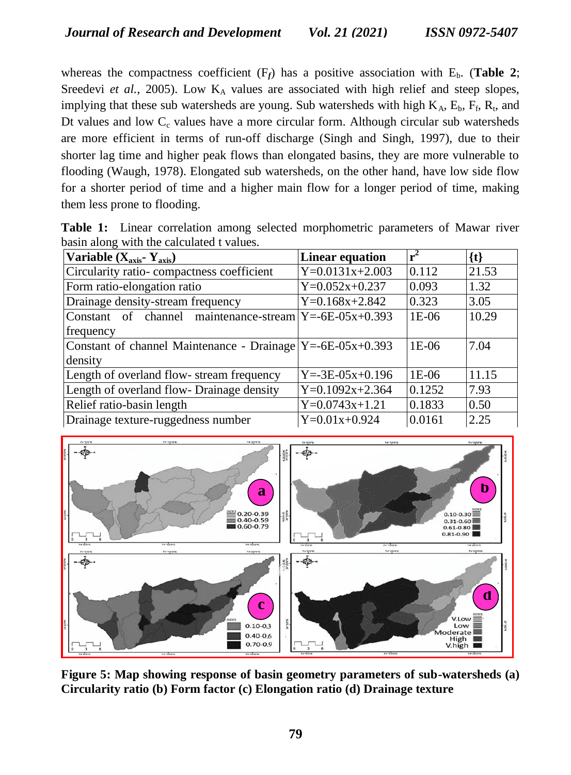whereas the compactness coefficient  $(F_f)$  has a positive association with  $E_b$ . (**Table 2**; Sreedevi et al., 2005). Low K<sub>A</sub> values are associated with high relief and steep slopes, implying that these sub watersheds are young. Sub watersheds with high  $K_A$ ,  $E_b$ ,  $F_f$ ,  $R_t$ , and Dt values and low  $C_c$  values have a more circular form. Although circular sub watersheds are more efficient in terms of run-off discharge (Singh and Singh, 1997), due to their shorter lag time and higher peak flows than elongated basins, they are more vulnerable to flooding (Waugh, 1978). Elongated sub watersheds, on the other hand, have low side flow for a shorter period of time and a higher main flow for a longer period of time, making them less prone to flooding.

|  |                                           |  | <b>Table 1:</b> Linear correlation among selected morphometric parameters of Mawar river |  |  |
|--|-------------------------------------------|--|------------------------------------------------------------------------------------------|--|--|
|  | basin along with the calculated t values. |  |                                                                                          |  |  |

| Variable $(X_{axis} - Y_{axis})$                                   | <b>Linear equation</b>  | $r^2$   | $\{t\}$ |
|--------------------------------------------------------------------|-------------------------|---------|---------|
| Circularity ratio-compactness coefficient                          | $Y=0.0131x+2.003$       | 0.112   | 21.53   |
| Form ratio-elongation ratio                                        | $Y=0.052x+0.237$        | 0.093   | 1.32    |
| Drainage density-stream frequency                                  | $Y=0.168x+2.842$        | 0.323   | 3.05    |
| Constant of channel maintenance-stream $Y = -6E - 05x + 0.393$     |                         | $1E-06$ | 10.29   |
| frequency                                                          |                         |         |         |
| Constant of channel Maintenance - Drainage $Y = -6E - 05x + 0.393$ |                         | $1E-06$ | 7.04    |
| density                                                            |                         |         |         |
| Length of overland flow-stream frequency                           | $Y = -3E - 05x + 0.196$ | $1E-06$ | 11.15   |
| Length of overland flow-Drainage density                           | $Y=0.1092x+2.364$       | 0.1252  | 7.93    |
| Relief ratio-basin length                                          | $Y=0.0743x+1.21$        | 0.1833  | 0.50    |
| Drainage texture-ruggedness number                                 | $Y=0.01x+0.924$         | 0.0161  | 2.25    |



**Figure 5: Map showing response of basin geometry parameters of sub-watersheds (a) Circularity ratio (b) Form factor (c) Elongation ratio (d) Drainage texture**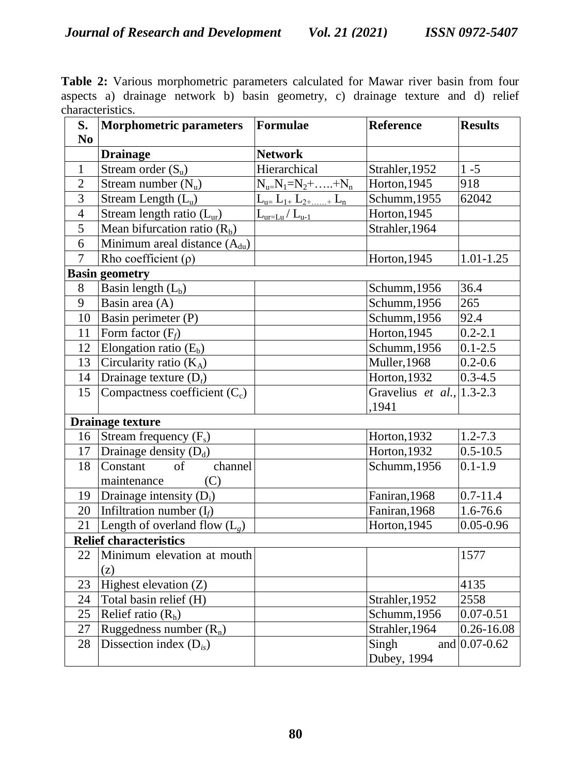**Table 2:** Various morphometric parameters calculated for Mawar river basin from four aspects a) drainage network b) basin geometry, c) drainage texture and d) relief characteristics.

| S.<br>No                      | Morphometric parameters                               | Formulae                          | <b>Reference</b>                       | <b>Results</b>    |  |  |  |  |
|-------------------------------|-------------------------------------------------------|-----------------------------------|----------------------------------------|-------------------|--|--|--|--|
|                               | <b>Drainage</b>                                       | <b>Network</b>                    |                                        |                   |  |  |  |  |
| $\mathbf{1}$                  | Stream order $(S_u)$                                  | Hierarchical                      | Strahler, 1952                         | $1 - 5$           |  |  |  |  |
| $\overline{2}$                | Stream number $(N_u)$                                 | $N_{u=}N_1=N_2+\ldots+N_n$        | $\overline{H}$ orton, 1945             | 918               |  |  |  |  |
| 3                             | Stream Length $(Lu)$                                  | $L_{u=}\ L_{1+}\ L_{2++}\ L_{n}$  | Schumm, 1955                           | 62042             |  |  |  |  |
| $\overline{4}$                | Stream length ratio $(L_{ur})$                        | $L_{\text{ur=Lu}}/L_{\text{u-1}}$ | $\overline{H}$ orton, 1945             |                   |  |  |  |  |
| 5                             | Mean bifurcation ratio $(Rb)$                         |                                   | Strahler, 1964                         |                   |  |  |  |  |
| 6                             | $\overline{\text{Minimum}}$ areal distance $(A_{du})$ |                                   |                                        |                   |  |  |  |  |
| $\overline{7}$                | Rho coefficient $(\rho)$                              |                                   | Horton, 1945                           | $1.01 - 1.25$     |  |  |  |  |
|                               | <b>Basin geometry</b>                                 |                                   |                                        |                   |  |  |  |  |
| 8                             | Basin length $\overline{(L_b)}$                       |                                   | Schumm, 1956                           | 36.4              |  |  |  |  |
| $\overline{9}$                | Basin area (A)                                        |                                   | Schumm, 1956                           | 265               |  |  |  |  |
| 10                            | Basin perimeter $(P)$                                 |                                   | Schumm, 1956                           | 92.4              |  |  |  |  |
| 11                            | Form factor $(F_f)$                                   |                                   | Horton, 1945                           | $0.2 - 2.1$       |  |  |  |  |
| 12                            | Elongation ratio $(E_b)$                              |                                   | Schumm, 1956                           | $0.1 - 2.5$       |  |  |  |  |
| 13                            | Circularity ratio $(K_A)$                             |                                   | Muller, 1968                           | $0.2 - 0.6$       |  |  |  |  |
| 14                            | Drainage texture $(D_t)$                              |                                   | Horton, 1932                           | $0.3 - 4.5$       |  |  |  |  |
| 15                            | Compactness coefficient $(C_c)$                       |                                   | Gravelius et al., $ 1.3-2.3 $<br>,1941 |                   |  |  |  |  |
|                               | <b>Drainage texture</b>                               |                                   |                                        |                   |  |  |  |  |
| 16                            | Stream frequency $(F_s)$                              |                                   | Horton, 1932                           | $1.2 - 7.3$       |  |  |  |  |
| 17                            | Drainage density $(D_d)$                              |                                   | Horton, 1932                           | $0.5 - 10.5$      |  |  |  |  |
| 18                            | Constant<br>of<br>channel                             |                                   | Schumm, 1956                           | $0.1 - 1.9$       |  |  |  |  |
|                               | maintenance<br>(C)                                    |                                   |                                        |                   |  |  |  |  |
| 19                            | Drainage intensity (D <sub>i</sub> )                  |                                   | Faniran, 1968                          | $0.7 - 11.4$      |  |  |  |  |
| 20                            | Infiltration number $(I_f)$                           |                                   | Faniran, 1968                          | 1.6-76.6          |  |  |  |  |
| 21                            | Length of overland flow $(L_g)$                       |                                   | Horton, 1945                           | $0.05 - 0.96$     |  |  |  |  |
| <b>Relief characteristics</b> |                                                       |                                   |                                        |                   |  |  |  |  |
| 22                            | Minimum elevation at mouth                            |                                   |                                        | 1577              |  |  |  |  |
|                               | (z)                                                   |                                   |                                        |                   |  |  |  |  |
| 23                            | Highest elevation (Z)                                 |                                   |                                        | 4135              |  |  |  |  |
| 24                            | Total basin relief (H)                                |                                   | Strahler, 1952                         | 2558              |  |  |  |  |
| 25                            | Relief ratio $(Rh)$                                   |                                   | Schumm, 1956                           | $0.07 - 0.51$     |  |  |  |  |
| 27                            | Ruggedness number $(R_n)$                             |                                   | Strahler, 1964                         | $0.26 - 16.08$    |  |  |  |  |
| 28                            | Dissection index $(D_{is})$                           |                                   | Singh<br>Dubey, 1994                   | and $0.07 - 0.62$ |  |  |  |  |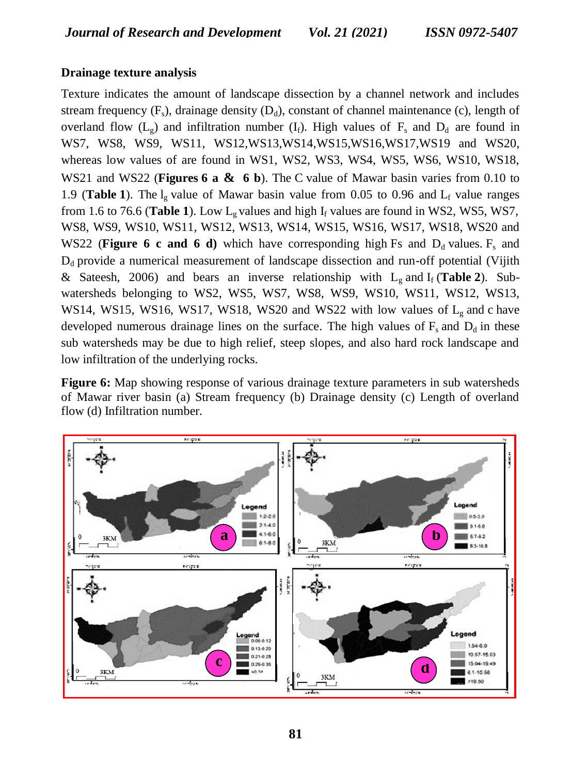# **Drainage texture analysis**

Texture indicates the amount of landscape dissection by a channel network and includes stream frequency  $(F_s)$ , drainage density  $(D_d)$ , constant of channel maintenance (c), length of overland flow  $(L_g)$  and infiltration number  $(I_f)$ . High values of  $F_s$  and  $D_d$  are found in WS7, WS8, WS9, WS11, WS12,WS13,WS14,WS15,WS16,WS17,WS19 and WS20, whereas low values of are found in WS1, WS2, WS3, WS4, WS5, WS6, WS10, WS18, WS21 and WS22 (**Figures [6](http://www.hindawi.com/journals/geography/2014/927176/fig5/#a) a & 6 [b](http://www.hindawi.com/journals/geography/2014/927176/fig5/#b)**). The C value of Mawar basin varies from 0.10 to [1](http://www.hindawi.com/journals/geography/2014/927176/tab1/).9 (**Table 1**). The  $l_g$  value of Mawar basin value from 0.05 to 0.96 and  $L_f$  value ranges from [1](http://www.hindawi.com/journals/geography/2014/927176/tab1/).6 to 76.6 (Table 1). Low  $L_g$  values and high  $I_f$  values are found in WS2, WS5, WS7, WS8, WS9, WS10, WS11, WS12, WS13, WS14, WS15, WS16, WS17, WS18, WS20 and WS22 (**Figure 6 c and 6 d**) which have corresponding high Fs and  $D_d$  values. F<sub>s</sub> and  $D_d$  provide a numerical measurement of landscape dissection and run-off potential (Vijith & Sateesh, 2006) and bears an inverse relationship with  $L_g$  and  $I_f$  (Table 2). Subwatersheds belonging to WS2, WS5, WS7, WS8, WS9, WS10, WS11, WS12, WS13, WS14, WS15, WS16, WS17, WS18, WS20 and WS22 with low values of  $L_g$  and c have developed numerous drainage lines on the surface. The high values of  $F_s$  and  $D_d$  in these sub watersheds may be due to high relief, steep slopes, and also hard rock landscape and low infiltration of the underlying rocks.

**Figure 6:** Map showing response of various drainage texture parameters in sub watersheds of Mawar river basin (a) Stream frequency (b) Drainage density (c) Length of overland flow (d) Infiltration number.

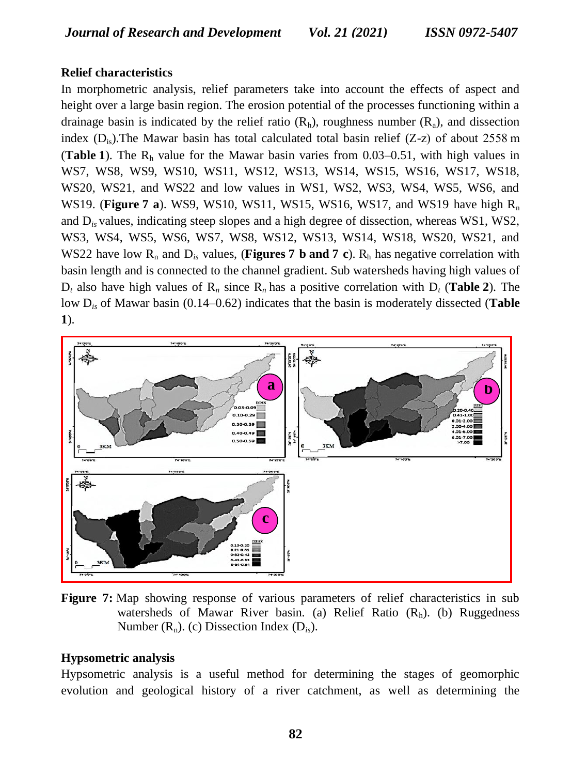# **Relief characteristics**

In morphometric analysis, relief parameters take into account the effects of aspect and height over a large basin region. The erosion potential of the processes functioning within a drainage basin is indicated by the relief ratio  $(R_h)$ , roughness number  $(R_a)$ , and dissection index  $(D<sub>i</sub>)$ . The Mawar basin has total calculated total basin relief (Z-z) of about 2558 m (**Table** [1](http://www.hindawi.com/journals/geography/2014/927176/tab1/)). The  $R_h$  value for the Mawar basin varies from 0.03–0.51, with high values in WS7, WS8, WS9, WS10, WS11, WS12, WS13, WS14, WS15, WS16, WS17, WS18, WS20, WS21, and WS22 and low values in WS1, WS2, WS3, WS4, WS5, WS6, and WS19. (**Figure 7 a**). WS9, WS10, WS11, WS15, WS16, WS17, and WS19 have high R<sub>n</sub> and D*is* values, indicating steep slopes and a high degree of dissection, whereas WS1, WS2, WS3, WS4, WS5, WS6, WS7, WS8, WS12, WS13, WS14, WS18, WS20, WS21, and WS22 have low  $R_n$  and  $D_i$  values, (**Figures [7](http://www.hindawi.com/journals/geography/2014/927176/fig6/#c) [b](http://www.hindawi.com/journals/geography/2014/927176/fig6/#b)** and 7 **c**).  $R_h$  has negative correlation with basin length and is connected to the channel gradient. Sub watersheds having high values of  $D_t$  also have high values of  $R_n$  since  $R_n$  has a positive correlation with  $D_t$  (**Table 2**). The low D*is* of Mawar basin (0.14–0.62) indicates that the basin is moderately dissected (**Table [1](http://www.hindawi.com/journals/geography/2014/927176/tab1/)**).



Figure 7: Map showing response of various parameters of relief characteristics in sub watersheds of Mawar River basin. (a) Relief Ratio  $(R<sub>h</sub>)$ . (b) Ruggedness Number  $(R_n)$ . (c) Dissection Index  $(D_i)$ .

### **Hypsometric analysis**

Hypsometric analysis is a useful method for determining the stages of geomorphic evolution and geological history of a river catchment, as well as determining the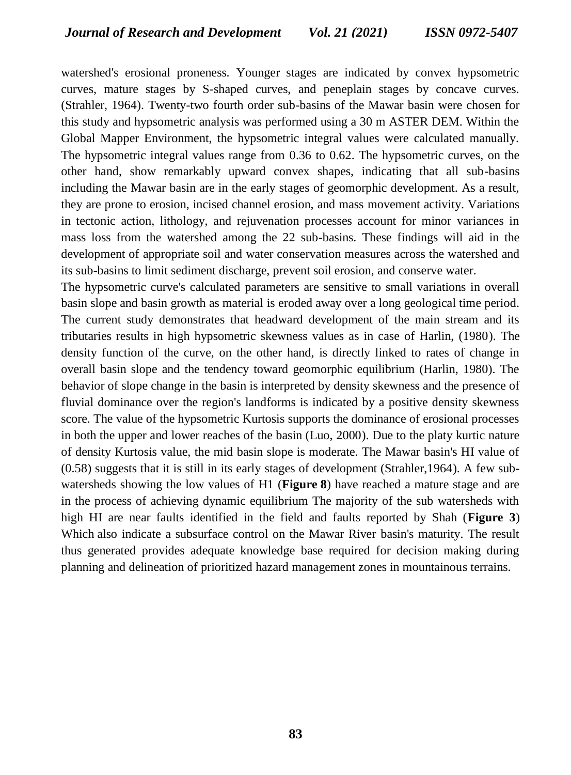watershed's erosional proneness. Younger stages are indicated by convex hypsometric curves, mature stages by S-shaped curves, and peneplain stages by concave curves. (Strahler, 1964). Twenty-two fourth order sub-basins of the Mawar basin were chosen for this study and hypsometric analysis was performed using a 30 m ASTER DEM. Within the Global Mapper Environment, the hypsometric integral values were calculated manually. The hypsometric integral values range from 0.36 to 0.62. The hypsometric curves, on the other hand, show remarkably upward convex shapes, indicating that all sub-basins including the Mawar basin are in the early stages of geomorphic development. As a result, they are prone to erosion, incised channel erosion, and mass movement activity. Variations in tectonic action, lithology, and rejuvenation processes account for minor variances in mass loss from the watershed among the 22 sub-basins. These findings will aid in the development of appropriate soil and water conservation measures across the watershed and its sub-basins to limit sediment discharge, prevent soil erosion, and conserve water.

The hypsometric curve's calculated parameters are sensitive to small variations in overall basin slope and basin growth as material is eroded away over a long geological time period. The current study demonstrates that headward development of the main stream and its tributaries results in high hypsometric skewness values as in case of Harlin, (1980). The density function of the curve, on the other hand, is directly linked to rates of change in overall basin slope and the tendency toward geomorphic equilibrium (Harlin, 1980). The behavior of slope change in the basin is interpreted by density skewness and the presence of fluvial dominance over the region's landforms is indicated by a positive density skewness score. The value of the hypsometric Kurtosis supports the dominance of erosional processes in both the upper and lower reaches of the basin (Luo, 2000). Due to the platy kurtic nature of density Kurtosis value, the mid basin slope is moderate. The Mawar basin's HI value of (0.58) suggests that it is still in its early stages of development (Strahler,1964). A few subwatersheds showing the low values of H1 (**Figure [8](http://www.hindawi.com/journals/geography/2014/927176/fig7/#b)**) have reached a mature stage and are in the process of achieving dynamic equilibrium The majority of the sub watersheds with high HI are near faults identified in the field and faults reported by Shah (**Figure 3**) Which also indicate a subsurface control on the Mawar River basin's maturity. The result thus generated provides adequate knowledge base required for decision making during planning and delineation of prioritized hazard management zones in mountainous terrains.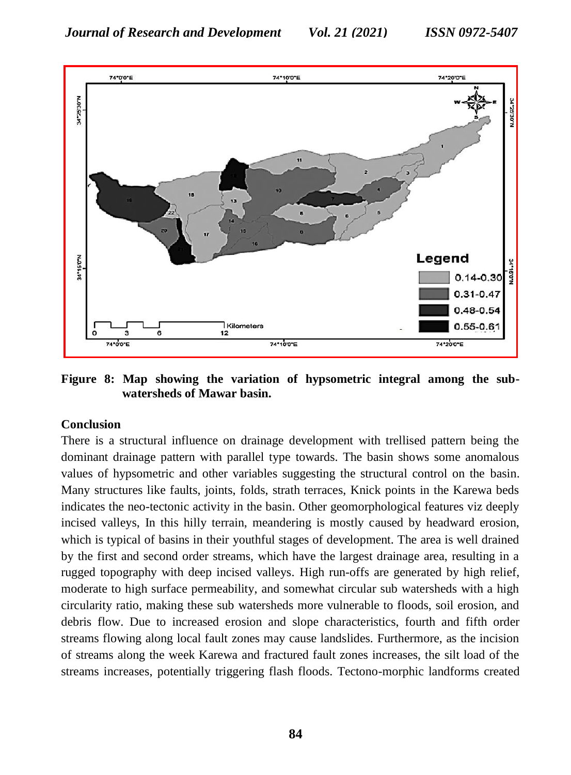

**Figure 8: Map showing the variation of hypsometric integral among the subwatersheds of Mawar basin.**

#### **Conclusion**

There is a structural influence on drainage development with trellised pattern being the dominant drainage pattern with parallel type towards. The basin shows some anomalous values of hypsometric and other variables suggesting the structural control on the basin. Many structures like faults, joints, folds, strath terraces, Knick points in the Karewa beds indicates the neo-tectonic activity in the basin. Other geomorphological features viz deeply incised valleys, In this hilly terrain, meandering is mostly caused by headward erosion, which is typical of basins in their youthful stages of development. The area is well drained by the first and second order streams, which have the largest drainage area, resulting in a rugged topography with deep incised valleys. High run-offs are generated by high relief, moderate to high surface permeability, and somewhat circular sub watersheds with a high circularity ratio, making these sub watersheds more vulnerable to floods, soil erosion, and debris flow. Due to increased erosion and slope characteristics, fourth and fifth order streams flowing along local fault zones may cause landslides. Furthermore, as the incision of streams along the week Karewa and fractured fault zones increases, the silt load of the streams increases, potentially triggering flash floods. Tectono-morphic landforms created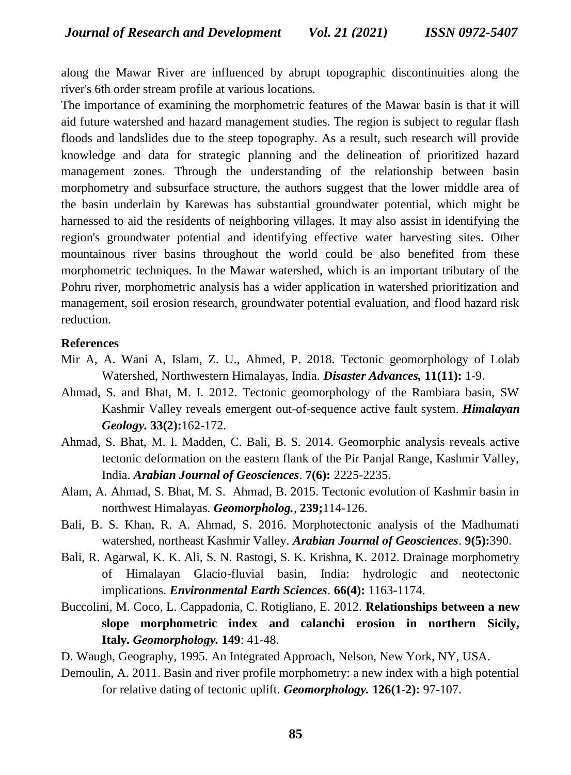along the Mawar River are influenced by abrupt topographic discontinuities along the river's 6th order stream profile at various locations.

The importance of examining the morphometric features of the Mawar basin is that it will aid future watershed and hazard management studies. The region is subject to regular flash floods and landslides due to the steep topography. As a result, such research will provide knowledge and data for strategic planning and the delineation of prioritized hazard management zones. Through the understanding of the relationship between basin morphometry and subsurface structure, the authors suggest that the lower middle area of the basin underlain by Karewas has substantial groundwater potential, which might be harnessed to aid the residents of neighboring villages. It may also assist in identifying the region's groundwater potential and identifying effective water harvesting sites. Other mountainous river basins throughout the world could be also benefited from these morphometric techniques. In the Mawar watershed, which is an important tributary of the Pohru river, morphometric analysis has a wider application in watershed prioritization and management, soil erosion research, groundwater potential evaluation, and flood hazard risk reduction.

#### **References**

- Mir A, A. Wani A, Islam, Z. U., Ahmed, P. 2018. Tectonic geomorphology of Lolab Watershed, Northwestern Himalayas, India. *Disaster Advances,* **11(11):** 1-9.
- Ahmad, S. and Bhat, M. I. 2012. Tectonic geomorphology of the Rambiara basin, SW Kashmir Valley reveals emergent out-of-sequence active fault system. *Himalayan Geology.* **33(2):**162-172.
- Ahmad, S. Bhat, M. I. Madden, C. Bali, B. S. 2014. Geomorphic analysis reveals active tectonic deformation on the eastern flank of the Pir Panjal Range, Kashmir Valley, India. *Arabian Journal of Geosciences*. **7(6):** 2225-2235.
- Alam, A. Ahmad, S. Bhat, M. S. Ahmad, B. 2015. Tectonic evolution of Kashmir basin in northwest Himalayas. *Geomorpholog.*, **239;**114-126.
- Bali, B. S. Khan, R. A. Ahmad, S. 2016. Morphotectonic analysis of the Madhumati watershed, northeast Kashmir Valley. *Arabian Journal of Geosciences*. **9(5):**390.
- Bali, R. Agarwal, K. K. Ali, S. N. Rastogi, S. K. Krishna, K. 2012. Drainage morphometry of Himalayan Glacio-fluvial basin, India: hydrologic and neotectonic implications. *Environmental Earth Sciences*. **66(4):** 1163-1174.
- Buccolini, M. Coco, L. Cappadonia, C. Rotigliano, E. 2012. **Relationships between a new slope morphometric index and calanchi erosion in northern Sicily, Italy.** *Geomorphology.* **149**: 41-48.
- D. Waugh, Geography, 1995. An Integrated Approach, Nelson, New York, NY, USA.
- Demoulin, A. 2011. Basin and river profile morphometry: a new index with a high potential for relative dating of tectonic uplift. *Geomorphology.* **126(1-2):** 97-107.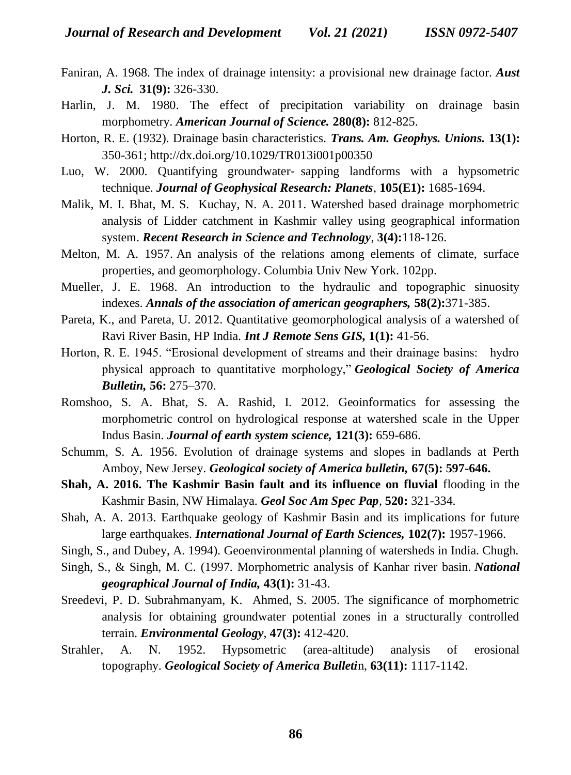- Faniran, A. 1968. The index of drainage intensity: a provisional new drainage factor. *Aust J. Sci.* **31(9):** 326-330.
- Harlin, J. M. 1980. The effect of precipitation variability on drainage basin morphometry. *American Journal of Science.* **280(8):** 812-825.
- Horton, R. E. (1932). Drainage basin characteristics. *Trans. Am. Geophys. Unions.* **13(1):** 350-361; http://dx.doi.org/10.1029/TR013i001p00350
- Luo, W. 2000. Quantifying groundwater‐ sapping landforms with a hypsometric technique. *Journal of Geophysical Research: Planets*, **105(E1):** 1685-1694.
- Malik, M. I. Bhat, M. S. Kuchay, N. A. 2011. Watershed based drainage morphometric analysis of Lidder catchment in Kashmir valley using geographical information system. *Recent Research in Science and Technology*, **3(4):**118-126.
- Melton, M. A. 1957. An analysis of the relations among elements of climate, surface properties, and geomorphology. Columbia Univ New York. 102pp.
- Mueller, J. E. 1968. An introduction to the hydraulic and topographic sinuosity indexes. *Annals of the association of american geographers,* **58(2):**371-385.
- Pareta, K., and Pareta, U. 2012. Quantitative geomorphological analysis of a watershed of Ravi River Basin, HP India. *Int J Remote Sens GIS,* **1(1):** 41-56.
- Horton, R. E. 1945. "Erosional development of streams and their drainage basins: hydro physical approach to quantitative morphology," *Geological Society of America Bulletin,* **56:** 275–370.
- Romshoo, S. A. Bhat, S. A. Rashid, I. 2012. Geoinformatics for assessing the morphometric control on hydrological response at watershed scale in the Upper Indus Basin. *Journal of earth system science,* **121(3):** 659-686.
- Schumm, S. A. 1956. Evolution of drainage systems and slopes in badlands at Perth Amboy, New Jersey. *Geological society of America bulletin,* **67(5): 597-646.**
- **Shah, A. 2016. The Kashmir Basin fault and its influence on fluvial** flooding in the Kashmir Basin, NW Himalaya. *Geol Soc Am Spec Pap*, **520:** 321-334.
- Shah, A. A. 2013. Earthquake geology of Kashmir Basin and its implications for future large earthquakes. *International Journal of Earth Sciences,* **102(7):** 1957-1966.
- Singh, S., and Dubey, A. 1994). Geoenvironmental planning of watersheds in India. Chugh.
- Singh, S., & Singh, M. C. (1997. Morphometric analysis of Kanhar river basin. *National geographical Journal of India,* **43(1):** 31-43.
- Sreedevi, P. D. Subrahmanyam, K. Ahmed, S. 2005. The significance of morphometric analysis for obtaining groundwater potential zones in a structurally controlled terrain. *Environmental Geology*, **47(3):** 412-420.
- Strahler, A. N. 1952. Hypsometric (area-altitude) analysis of erosional topography. *Geological Society of America Bulleti*n, **63(11):** 1117-1142.